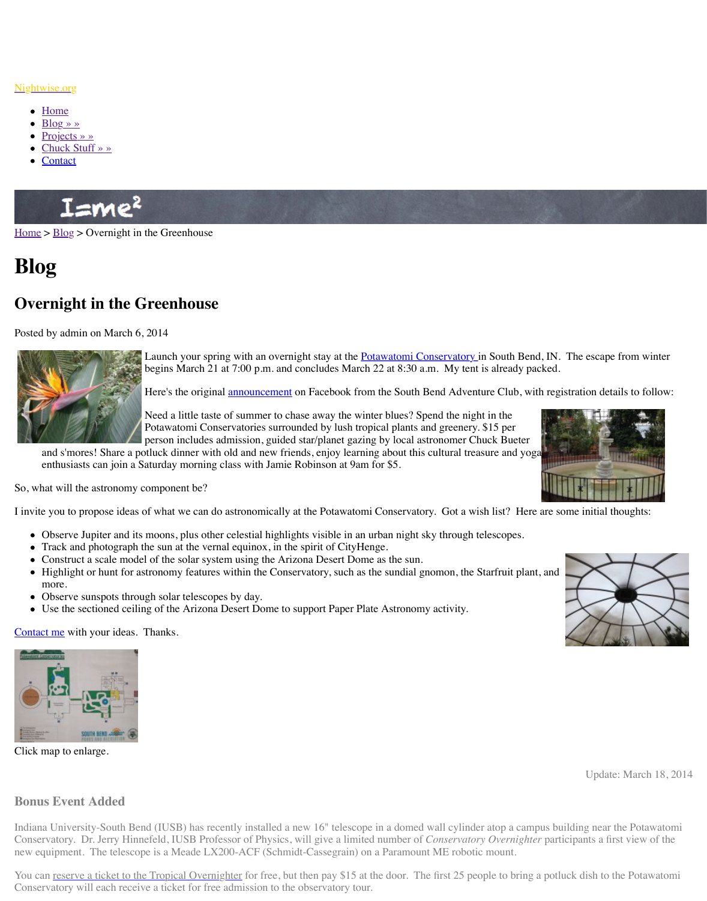

Launch your spring with an overinght stay at the <u>Fotawatomi G</u> begins March 21 at 7:00 p.m. and concludes March 22 at  $8:30$ .

Here's the original announcement on Facebook from the South

Need a little taste of summer to chase away the winter blues? See Potawatomi Conservatories surrounded by lush tropical plants person includes admission, guided star/planet gazing by local as

and s'mores! Share a potluck dinner with old and new friends, enjoy learning about this [enthus](http://www.nightwise.org/)iasts can join a Saturday morning class with Jamie Robinson at 9am for \$5.

So, w[hat will the a](http://www.nightwise.org/projects/)stronomy component be?

I invit[e you to](http://www.nightwise.org/contact/) [propose](http://www.nightwise.org/chuck-stuff/) ideas of what we can do astronomically at the Potawatomi Conservat

- Observe Jupiter and its moons, plus other celestial highlights visible in an urban night
- Track and photograph the sun at the vernal equinox, in the spirit of CityHenge.
- Construct a scale model of the solar system using the Arizona Desert Dome as the sun
- Highlight or hunt for astronomy features within the Conservatory, such as the sundial m[ore.](http://www.nightwise.org/blog/)
- Observe sunspots through solar telescopes by day.
- Use the sectioned ceiling of the Arizona Desert Dome to support Paper Plate Astronomy

Contact me with your ideas. Thanks.



Click map to enlarge.

## **Bonus Event Added**

Indiana University-South Bend (IUSB) has recently installed a new 16" telescope in a dome Conservatory. Dr. Jerry Hinnefeld, *IUSB* Professor of Physics, will give a limited number of new equipment. The telescope is a Meade LX200-ACF (Schmidt-Cassegrain) on a Paramou

You can reserve a ticket to the Tropical Overnighter for free, but then pay \$15 at the door. The first 25 percent 25 percent 25 percent dish to the Potawatomic dish to the Potawatomic dish to the Potawatomic dish to the Po Conservatory will each receive a ticket for free admission to the observatory tour.